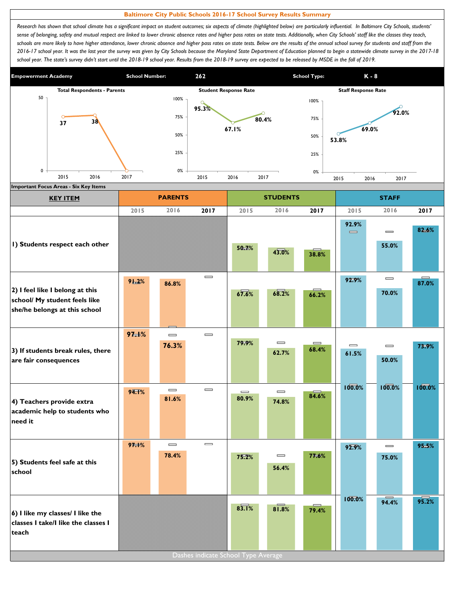## **Baltimore City Public Schools 2016-17 School Survey Results Summary**

Research has shown that school climate has a significant impact on student outcomes; six aspects of climate (highlighted below) are particularly influential. In Baltimore City Schools, students' sense of belonging, safety and mutual respect are linked to lower chronic absence rates and higher pass rates on state tests. Additionally, when City Schools' staff like the classes they teach, schools are more likely to have higher attendance, lower chronic absence and higher pass rates on state tests. Below are the results of the annual school survey for students and staff from the *2016-17 school year. It was the last year the survey was given by City Schools because the Maryland State Department of Education planned to begin a statewide climate survey in the 2017-18*  school year. The state's survey didn't start until the 2018-19 school year. Results from the 2018-19 survey are expected to be released by MSDE in the fall of 2019.



| <b>Important Focus Areas - Six Key Items</b>                                                      |          |                              |                                     |                              |                                       |                   |                                       |                              |                   |  |
|---------------------------------------------------------------------------------------------------|----------|------------------------------|-------------------------------------|------------------------------|---------------------------------------|-------------------|---------------------------------------|------------------------------|-------------------|--|
| <b>KEY ITEM</b>                                                                                   |          | <b>PARENTS</b>               |                                     |                              | <b>STUDENTS</b>                       |                   |                                       | <b>STAFF</b>                 |                   |  |
|                                                                                                   | 2015     | 2016                         | 2017                                | 2015                         | 2016                                  | 2017              | 2015                                  | 2016                         | 2017              |  |
|                                                                                                   |          |                              |                                     |                              |                                       |                   | 92.9%<br>$\qquad \qquad \blacksquare$ | $\equiv$                     | 82.6%             |  |
| I) Students respect each other                                                                    |          |                              |                                     | 50.7%                        | 43.0%                                 | 38.8%             |                                       | 55.0%                        |                   |  |
|                                                                                                   | 91.2%    | 86.8%                        | $\qquad \qquad \blacksquare$        |                              |                                       |                   | 92.9%                                 | $\qquad \qquad \blacksquare$ | $\equiv$<br>87.0% |  |
| 2) I feel like I belong at this<br>school/ My student feels like<br>she/he belongs at this school |          |                              |                                     | 67.6%                        | 68.2%                                 | 66.2%             |                                       | 70.0%                        |                   |  |
|                                                                                                   | $97 + %$ | $\equiv$                     | $\qquad \qquad \blacksquare$        |                              |                                       |                   |                                       |                              |                   |  |
| 3) If students break rules, there                                                                 |          | 76.3%                        |                                     | 79.9%                        | $\qquad \qquad =$<br>62.7%            | $\equiv$<br>68.4% | $\qquad \qquad \blacksquare$<br>61.5% | $\equiv$                     | 73.9%             |  |
| are fair consequences                                                                             |          |                              |                                     |                              |                                       |                   |                                       | 50.0%                        |                   |  |
|                                                                                                   | 94.1%    | $\qquad \qquad \blacksquare$ | $\qquad \qquad \blacksquare$        | $\qquad \qquad \blacksquare$ | $\qquad \qquad \blacksquare$          |                   | 100.0%                                | 100.0%                       | 100.0%            |  |
| 4) Teachers provide extra<br>academic help to students who<br>need it                             |          | 81.6%                        |                                     | 80.9%                        | 74.8%                                 | 84.6%             |                                       |                              |                   |  |
|                                                                                                   | 97.1%    | $\overline{\phantom{0}}$     | $\qquad \qquad \blacksquare$        |                              |                                       |                   | 92.9%                                 | $\equiv$                     | 95.5%             |  |
| 5) Students feel safe at this<br>school                                                           |          | 78.4%                        |                                     | 75.2%                        | $\qquad \qquad \blacksquare$<br>56.4% | 77.6%             |                                       | 75.0%                        |                   |  |
|                                                                                                   |          |                              |                                     |                              |                                       |                   | 100.0%                                | 94.4%                        | 95.2%             |  |
| 6) I like my classes/ I like the<br>classes I take/I like the classes I<br>teach                  |          |                              |                                     | $8\overline{3.1}$ %          | 81.8%                                 | 79.4%             |                                       |                              |                   |  |
|                                                                                                   |          |                              | Dashes indicate School Type Average |                              |                                       |                   |                                       |                              |                   |  |